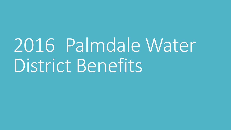2016 Palmdale Water District Benefits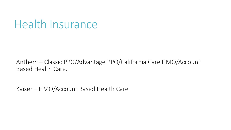## Health Insurance

Anthem – Classic PPO/Advantage PPO/California Care HMO/Account Based Health Care.

Kaiser – HMO/Account Based Health Care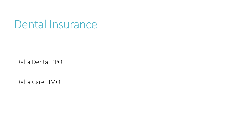## Dental Insurance

Delta Dental PPO

Delta Care HMO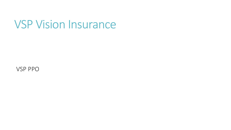## VSP Vision Insurance

VSP PPO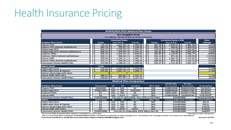#### Health Insurance Pricing

| <b>ACWA/JPIA 2016 Medical Plan Rates</b>       |                   |                       |                  |                                              |  |                              |                      |                                   |                |
|------------------------------------------------|-------------------|-----------------------|------------------|----------------------------------------------|--|------------------------------|----------------------|-----------------------------------|----------------|
| <b>Los Angeles Area</b>                        |                   |                       |                  |                                              |  |                              |                      |                                   |                |
| Los Angeles, San Bernardino & Ventura Counties |                   |                       |                  |                                              |  |                              |                      |                                   |                |
|                                                |                   | <b>Standard Rates</b> |                  |                                              |  | <b>Incentive Rates (-4%)</b> |                      |                                   | Rate           |
| <b>Anthem Blue Cross</b>                       | Single            |                       | <b>Two-Party</b> | Family                                       |  | <b>Single</b>                | <b>Two-Party</b>     | Family                            | <b>Change</b>  |
| <b>Classic PPO</b>                             | s<br>716.25       | s                     | $1.457.94$ \$    | 1,959.46                                     |  | s<br>687.99                  | 1.400.02<br>s        | 1,881.48<br>s                     | 3.00%          |
| <b>Classic PPO, Retired w/Medicare</b>         | 484.74<br>s       | 'S                    | 985.84           | ۱s<br>1,358.50                               |  | s<br>465.75                  | s<br>946.81          | Ŝ<br>1,304.55                     | 0.00%          |
| <b>Advantage PPO</b>                           | Ŝ<br>603.23       | s                     | 1,226.25         | ۱s<br>1,647.53                               |  | \$<br>579.50                 | s<br>1.177.59        | Ŝ.<br>1,582.02                    | 3.00%          |
| Advantage PPO, Retired w/Medicare              | s<br>408.76       | s                     | 829.69           | 1.142.72<br>l s                              |  | Ŝ.<br>392.81                 | s<br>796.90          | s<br>1.097.40                     | 1.82%          |
| <b>CalCare HMO</b>                             | \$<br>605.70      | s                     | 1,201.54         | 1,610.81<br>ΤŚ                               |  | Ŝ<br>581.87                  | Ŝ<br>1,153.87        | Ŝ<br>1,546.77                     | $-8.00%$       |
| CalCare HMO, Retired w/Medicare                | \$<br>459.11      | Ŝ.                    | 908.38           | 1,290.83<br>s                                |  | s<br>441.14                  | Ŝ<br>872.44          | 1,239.59<br>\$                    | $-10.00%$      |
| <b>Value HMO</b>                               | Ŝ<br>558.04       | Ŝ.                    | 1,106.21         | 1,482.73<br>s                                |  | \$<br>536.11                 | 1,062.35<br>s        | Ŝ.<br>1,423.82                    | $-8.00%$       |
| Value HMO, Retired w/Medicare                  | Ŝ<br>423.17       | Ŝ.                    | 836.50           | s<br>1,188.36                                |  | Ŝ<br>406.64                  | Ŝ<br>803.44          | Ŝ.<br>1,141.22                    | $-9.29%$       |
| <b>Consumer Driven Health Plan</b>             | Ŝ<br>574.98       | Ŝ                     | 1,168.33         | 1,569.54<br>s                                |  | Ŝ<br>552.37                  | 1,121.99<br>s        | 1,507.16<br>s                     | 0.49%          |
| <b>Kaiser South</b><br><b>Single</b>           |                   |                       |                  |                                              |  |                              |                      |                                   |                |
| <b>HMO</b> with Chiro                          | s<br>526.05       | s                     | 1.042.22         | 1,470.64<br>۱s                               |  |                              |                      |                                   | 2.13%          |
| <b>HMO with Chiro &amp; Optical</b>            | Ŝ<br>535.80       | Ŝ                     | $1,061.70$ \$    | 1,498.21                                     |  |                              |                      |                                   | 2.13%          |
| Senior Advantage with Chiro                    |                   |                       |                  |                                              |  |                              |                      |                                   |                |
| Value HMO with Chiro                           | s<br>480.37       | Ŝ.                    | 950.86           | 1,341.37<br>s                                |  |                              |                      |                                   | 2.12%          |
| <b>Consumer Driven Health Plan</b>             | Ŝ<br>418.87       | s                     | 827.86           | ٦s<br>1,167.32                               |  |                              |                      |                                   | 2.82%          |
|                                                |                   |                       |                  | <b>Medical Plan Comparison</b>               |  |                              |                      |                                   |                |
|                                                |                   |                       |                  |                                              |  |                              | <b>Medical Max</b>   | <b>RX Max</b>                     |                |
| <b>Anthem Blue Cross</b>                       | <b>Deductible</b> | Dr.                   | ER               | <b>Hospital</b>                              |  | <b>After Ded.</b>            | <b>Out of Pocket</b> | <b>Out of Pocket</b>              | Prescription   |
| <b>Classic PPO</b>                             | \$200/600         | \$15                  | \$50             | \$0                                          |  | 20%                          | \$1000/3000          | \$5600/10200                      | \$5/20/50      |
| <b>Advantage PPO</b>                           | \$500/1000        | \$20                  | \$50             | Ded/20%                                      |  | 20%                          | \$3000/6000          | \$3600/7200                       | \$5/20/50      |
| <b>CalCare HMO</b>                             | \$0               | \$10                  | \$50             | \$O                                          |  | N/A                          | \$500/1500           | \$6100/11700                      | \$5/20/50      |
| <b>Value HMO</b>                               | \$0               | \$30                  | \$150            | \$250                                        |  | N/A                          | \$2500/5000          | \$4100/8200                       | $$10/20/50^1$  |
| <b>Consumer Driven Health Plan</b>             | \$1500/3000       |                       |                  | Full cost to deductible, then 20% to OOP Max |  |                              |                      | \$2500/4000                       | Ded/\$10/20/40 |
| <b>Kaiser</b>                                  | <b>Deductible</b> | Dr.                   | ER               | <b>Hospital</b>                              |  | <b>After Ded.</b>            |                      | <b>Combined Max Out of Pocket</b> | Prescription   |
| <b>HMO with Chiro</b>                          | \$O               | \$10                  | \$50             | \$0                                          |  | N/A                          |                      | \$1500/3000                       | \$5/15         |
| <b>HMO with Chiro &amp; Optical</b>            | \$0               | \$10                  | \$50             | \$0                                          |  | N/A                          |                      | \$1500/3000                       | \$5/15         |
| Senior Advantage with Chiro                    | \$0               | \$20                  | \$50             | \$0                                          |  | N/A                          |                      | \$1500/3000                       | \$10/25        |
| Value HMO with Chiro                           | \$0               | \$30                  | \$150            | \$250                                        |  | N/A                          |                      | \$2500/5000                       | \$10/20        |
| <b>Consumer Driven Health Plan</b>             | \$1500/3000       |                       |                  | Full cost to deductible (OOP Max) then \$0   |  |                              |                      | \$1500/3000                       | Ded/\$0        |

<sup>1</sup>An annual \$100 drug deductible applies to medications on this plan.

\* average increase among tiers

This is a very brief plan comparison of IN-NETWORK benefits. Consult the summaries at www.acwajpia.com. The Evidence of Coverage prevails in the event of a discrepancy.

If you have questions or would like more information please email benefits@acwajpia.com.

Revised 7/2/2015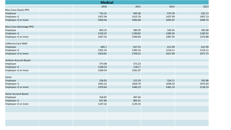| <b>Medical</b>                  |  |         |         |         |         |  |  |
|---------------------------------|--|---------|---------|---------|---------|--|--|
|                                 |  | 2016    | 2015    | 2014    | 2013    |  |  |
| <b>Blue Cross Classic PPO</b>   |  |         |         |         |         |  |  |
| Employee                        |  | 716.25  | 695.68  | 674.78  | 622.13  |  |  |
| Employee +1                     |  | 1457.94 | 1415.76 | 1437.99 | 1467.13 |  |  |
| Employee +2 or more             |  | 1959.46 | 1902.68 | 1845.07 | 1699.74 |  |  |
| <b>Blue Cross Advantage PPO</b> |  |         |         |         |         |  |  |
| Employee                        |  | 603.23  | 585.95  | 545.41  | 503.00  |  |  |
| Employee +1                     |  | 1226.25 | 1190.82 | 1284.45 | 1183.52 |  |  |
| Employee +2 or more             |  | 1647.53 | 1599.83 | 1487.93 | 1370.88 |  |  |
| California Care HMO             |  |         |         |         |         |  |  |
| Employee                        |  | 605.7   | 657.52  | 611.99  | 611.99  |  |  |
| Employee +1                     |  | 1201.54 | 1305.16 | 1214.11 | 1214.11 |  |  |
| Employee +2 or more             |  | 1610.81 | 1750.22 | 1627.69 | 1677.73 |  |  |
| Anthem Account Based            |  |         |         |         |         |  |  |
| Employee                        |  | 574.98  | 572.23  |         |         |  |  |
| Employee +1                     |  | 1168.33 | 1162.7  |         |         |  |  |
| Employee +2 or more             |  | 1569.54 | 1561.97 |         |         |  |  |
| Kaiser                          |  |         |         |         |         |  |  |
| Employee                        |  | 526.05  | 515.29  | 524.11  | 542.86  |  |  |
| Employee +1                     |  | 1042.22 | 1020.70 | 1038.33 | 1075.83 |  |  |
| Employee +2 or more             |  | 1470.64 | 1440.19 | 1465.14 | 1518.19 |  |  |
| Kaiser Account Based            |  |         |         |         |         |  |  |
| Employee                        |  | 418.87  | 407.64  |         |         |  |  |
| Employee +1                     |  | 827.86  | 805.41  |         |         |  |  |
| Employee +2 or more             |  | 1167.32 | 1135.55 |         |         |  |  |
|                                 |  |         |         |         |         |  |  |
|                                 |  |         |         |         |         |  |  |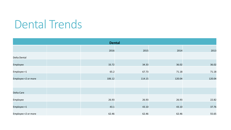# Dental Trends

| <b>Dental</b>       |  |        |        |        |        |  |
|---------------------|--|--------|--------|--------|--------|--|
|                     |  | 2016   | 2015   | 2014   | 2013   |  |
| Delta Dental        |  |        |        |        |        |  |
| Employee            |  | 33.72  | 34.33  | 36.02  | 36.02  |  |
| Employee +1         |  | 65.2   | 67.73  | 71.18  | 71.18  |  |
| Employee +2 or more |  | 106.12 | 114.15 | 120.04 | 120.04 |  |
|                     |  |        |        |        |        |  |
| Delta Care          |  |        |        |        |        |  |
| Employee            |  | 26.93  | 26.93  | 26.93  | 22.82  |  |
| Employee +1         |  | 43.1   | 43.10  | 43.10  | 37.76  |  |
| Employee +2 or more |  | 62.46  | 62.46  | 62.46  | 55.65  |  |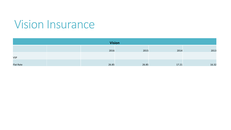## Vision Insurance

| <b>Vision</b>    |  |       |       |       |       |  |
|------------------|--|-------|-------|-------|-------|--|
|                  |  | 2016  | 2015  | 2014  | 2013  |  |
| <b>VSP</b>       |  |       |       |       |       |  |
| <b>Flat Rate</b> |  | 26.85 | 26.85 | 17.21 | 16.32 |  |